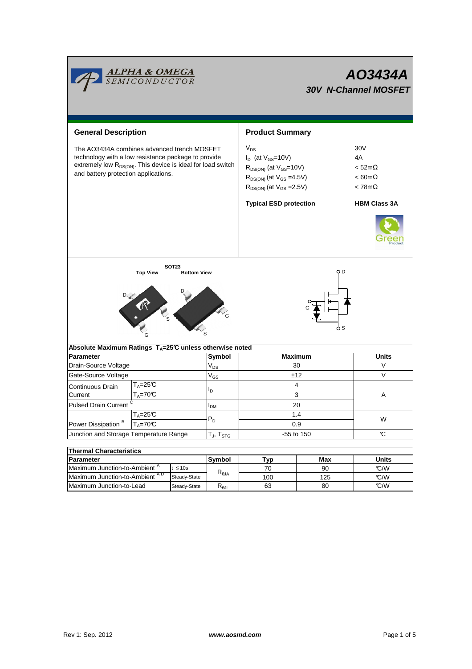|                                                                                                                                                                                                                        | <mark>ALPHA &amp; OMEGA</mark><br>SEMICONDUCTOR           |                                    |                         | AO3434A<br><b>30V N-Channel MOSFET</b>                                                                                                              |                     |                                                                         |  |  |  |
|------------------------------------------------------------------------------------------------------------------------------------------------------------------------------------------------------------------------|-----------------------------------------------------------|------------------------------------|-------------------------|-----------------------------------------------------------------------------------------------------------------------------------------------------|---------------------|-------------------------------------------------------------------------|--|--|--|
| <b>General Description</b>                                                                                                                                                                                             |                                                           |                                    |                         | <b>Product Summary</b>                                                                                                                              |                     |                                                                         |  |  |  |
| The AO3434A combines advanced trench MOSFET<br>technology with a low resistance package to provide<br>extremely low R <sub>DS(ON)</sub> . This device is ideal for load switch<br>and battery protection applications. |                                                           |                                    |                         | $V_{DS}$<br>$I_D$ (at $V_{GS}$ =10V)<br>$R_{DS(ON)}$ (at $V_{GS}$ =10V)<br>$R_{DS(ON)}$ (at $V_{GS} = 4.5V$ )<br>$R_{DS(ON)}$ (at $V_{GS} = 2.5V$ ) |                     | 30V<br>4A<br>$<$ 52m $\Omega$<br>$< 60 \text{m}\Omega$<br>$< 78m\Omega$ |  |  |  |
|                                                                                                                                                                                                                        |                                                           |                                    |                         | <b>Typical ESD protection</b>                                                                                                                       | <b>HBM Class 3A</b> |                                                                         |  |  |  |
|                                                                                                                                                                                                                        | <b>Top View</b>                                           | <b>SOT23</b><br><b>Bottom View</b> |                         |                                                                                                                                                     | o D<br>o S          |                                                                         |  |  |  |
| Absolute Maximum Ratings T <sub>A</sub> =25℃ unless otherwise noted                                                                                                                                                    |                                                           |                                    |                         |                                                                                                                                                     |                     |                                                                         |  |  |  |
| <b>Parameter</b>                                                                                                                                                                                                       |                                                           |                                    | Symbol                  | <b>Maximum</b>                                                                                                                                      |                     | <b>Units</b><br>V                                                       |  |  |  |
| Drain-Source Voltage                                                                                                                                                                                                   |                                                           |                                    | $V_{DS}$                | 30<br>±12                                                                                                                                           |                     | V                                                                       |  |  |  |
| Gate-Source Voltage                                                                                                                                                                                                    | $T_A = 25C$                                               |                                    | $\rm V_{GS}$            | 4                                                                                                                                                   |                     |                                                                         |  |  |  |
| Continuous Drain<br>Current                                                                                                                                                                                            | $T_A = 70C$                                               |                                    | I <sub>D</sub>          | 3                                                                                                                                                   |                     | A                                                                       |  |  |  |
| Pulsed Drain Current <sup>C</sup>                                                                                                                                                                                      |                                                           |                                    | <b>I</b> <sub>DM</sub>  | 20                                                                                                                                                  |                     |                                                                         |  |  |  |
| $T_A = 25C$                                                                                                                                                                                                            |                                                           |                                    | $\mathsf{P}_\mathsf{D}$ | 1.4<br>0.9                                                                                                                                          |                     | W                                                                       |  |  |  |
| Power Dissipation $B = T_A = 70C$<br>Junction and Storage Temperature Range                                                                                                                                            |                                                           |                                    | $T_J$ , $T_{STG}$       | -55 to 150                                                                                                                                          | C                   |                                                                         |  |  |  |
|                                                                                                                                                                                                                        |                                                           |                                    |                         |                                                                                                                                                     |                     |                                                                         |  |  |  |
| <b>Thermal Characteristics</b>                                                                                                                                                                                         |                                                           |                                    |                         |                                                                                                                                                     |                     |                                                                         |  |  |  |
| Parameter                                                                                                                                                                                                              |                                                           |                                    | Symbol                  | Typ                                                                                                                                                 | Max                 | Units                                                                   |  |  |  |
|                                                                                                                                                                                                                        | Maximum Junction-to-Ambient <sup>A</sup><br>t $\leq 10$ s |                                    | $R_{\theta$ JA          | 70                                                                                                                                                  | 90                  | °C/W                                                                    |  |  |  |
| Maximum Junction-to-Ambient AD                                                                                                                                                                                         |                                                           | Steady-State                       |                         | 100                                                                                                                                                 | 125                 | $\mathbb{C}/\mathbb{W}$                                                 |  |  |  |

Steady-State  $R_{\theta JL}$ 

Maximum Junction-to-Lead Steady-State R<sub>6JL</sub> 63 80 C/W

63

80

┓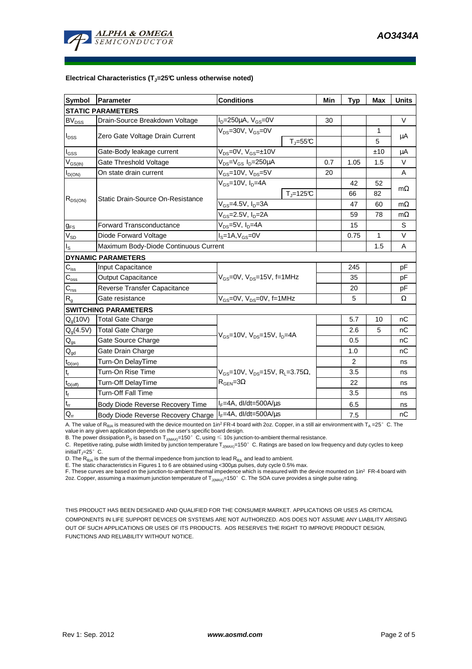

## **Electrical Characteristics (TJ=25°C unless otherwise noted)**

| <b>Symbol</b>                          | Parameter                                                 | <b>Conditions</b>                                                                  |                          | Min | <b>Typ</b> | <b>Max</b>       | <b>Units</b> |  |  |  |  |  |
|----------------------------------------|-----------------------------------------------------------|------------------------------------------------------------------------------------|--------------------------|-----|------------|------------------|--------------|--|--|--|--|--|
| <b>STATIC PARAMETERS</b>               |                                                           |                                                                                    |                          |     |            |                  |              |  |  |  |  |  |
| <b>BV<sub>DSS</sub></b>                | Drain-Source Breakdown Voltage                            | $I_D = 250 \mu A$ , $V_{GS} = 0V$                                                  |                          | 30  |            |                  | $\vee$       |  |  |  |  |  |
| $I_{DSS}$                              | Zero Gate Voltage Drain Current                           | $V_{DS}$ =30V, $V_{GS}$ =0V                                                        | $T_{J} = 55C$            |     |            | $\mathbf 1$<br>5 | $\mu$ A      |  |  |  |  |  |
| $I_{GSS}$                              | Gate-Body leakage current                                 | $V_{DS} = 0V$ , $V_{GS} = \pm 10V$                                                 |                          |     |            | ±10              | μA           |  |  |  |  |  |
| $V_{GS(th)}$                           | Gate Threshold Voltage                                    | V <sub>DS</sub> =V <sub>GS</sub> I <sub>D</sub> =250µA                             |                          | 0.7 | 1.05       | 1.5              | V            |  |  |  |  |  |
| $I_{D(ON)}$                            | On state drain current                                    | $V_{GS}$ =10V, $V_{DS}$ =5V                                                        |                          | 20  |            |                  | A            |  |  |  |  |  |
| $R_{DS(ON)}$                           |                                                           | $V_{GS}$ =10V, $I_D$ =4A                                                           |                          |     | 42         | 52               |              |  |  |  |  |  |
|                                        | <b>Static Drain-Source On-Resistance</b>                  |                                                                                    | $T_{\rm J}$ =125 $\rm C$ |     | 66         | 82               | $m\Omega$    |  |  |  |  |  |
|                                        |                                                           | $V_{GS}$ =4.5V, $I_{D}$ =3A                                                        |                          |     | 47         | 60               | $m\Omega$    |  |  |  |  |  |
|                                        |                                                           | $V_{GS}$ =2.5V, $I_{D}$ =2A                                                        |                          |     | 59         | 78               | $m\Omega$    |  |  |  |  |  |
| $g_{FS}$                               | <b>Forward Transconductance</b>                           | $V_{DS}$ =5V, $I_D$ =4A                                                            |                          |     | 15         |                  | S            |  |  |  |  |  |
| $V_{SD}$                               | Diode Forward Voltage                                     | $IS=1A, VGS=0V$                                                                    |                          |     | 0.75       | 1                | $\vee$       |  |  |  |  |  |
| ıs.                                    | Maximum Body-Diode Continuous Current                     |                                                                                    |                          |     | 1.5        | A                |              |  |  |  |  |  |
|                                        | <b>DYNAMIC PARAMETERS</b>                                 |                                                                                    |                          |     |            |                  |              |  |  |  |  |  |
| $C_{\text{iss}}$                       | Input Capacitance                                         |                                                                                    |                          |     | 245        |                  | pF           |  |  |  |  |  |
| $C_{\rm oss}$                          | Output Capacitance                                        | $V_{GS}$ =0V, $V_{DS}$ =15V, f=1MHz                                                |                          |     | 35         |                  | pF           |  |  |  |  |  |
| $C_{\rm rss}$                          | Reverse Transfer Capacitance                              |                                                                                    |                          |     | 20         |                  | pF           |  |  |  |  |  |
| $\mathsf{R}_{\mathsf{g}}$              | Gate resistance                                           | $V_{GS}$ =0V, $V_{DS}$ =0V, f=1MHz                                                 |                          | 5   |            | Ω                |              |  |  |  |  |  |
|                                        | <b>SWITCHING PARAMETERS</b>                               |                                                                                    |                          |     |            |                  |              |  |  |  |  |  |
| $Q_q(10V)$                             | Total Gate Charge                                         | $V_{GS}$ =10V, $V_{DS}$ =15V, $I_{D}$ =4A                                          |                          |     | 5.7        | 10               | nС           |  |  |  |  |  |
| $Q_g(4.5V)$                            | <b>Total Gate Charge</b>                                  |                                                                                    |                          |     | 2.6        | 5                | nC           |  |  |  |  |  |
| $Q_{gs}$                               | Gate Source Charge                                        |                                                                                    |                          |     | 0.5        |                  | nС           |  |  |  |  |  |
| $\mathsf{Q}_{\underline{\mathsf{gd}}}$ | Gate Drain Charge                                         |                                                                                    |                          |     | 1.0        |                  | nC           |  |  |  |  |  |
| $t_{D(on)}$                            | Turn-On DelayTime                                         | $V_{GS}$ =10V, $V_{DS}$ =15V, R <sub>i</sub> =3.75Ω,<br>$R_{\text{GFN}} = 3\Omega$ |                          |     | 2          |                  | ns           |  |  |  |  |  |
| $t_r$                                  | Turn-On Rise Time                                         |                                                                                    |                          |     | 3.5        |                  | ns           |  |  |  |  |  |
| $t_{D(off)}$                           | Turn-Off DelayTime                                        |                                                                                    |                          |     | 22         |                  | ns           |  |  |  |  |  |
| $t_f$                                  | <b>Turn-Off Fall Time</b>                                 |                                                                                    |                          | 3.5 |            | ns               |              |  |  |  |  |  |
| $\mathfrak{t}_{\text{rr}}$             | Body Diode Reverse Recovery Time                          | $I_F = 4A$ , dl/dt=500A/ $\mu$ s                                                   |                          |     | 6.5        |                  | ns           |  |  |  |  |  |
| $\mathsf{Q}_{\mathsf{rr}}$             | Body Diode Reverse Recovery Charge   IF=4A, dl/dt=500A/us |                                                                                    |                          |     | 7.5        |                  | nC           |  |  |  |  |  |

A. The value of  $R_{\theta_0A}$  is measured with the device mounted on 1in<sup>2</sup> FR-4 board with 2oz. Copper, in a still air environment with T<sub>A</sub> =25°C. The value in any given application depends on the user's specific board design.

B. The power dissipation P<sub>D</sub> is based on T<sub>J(MAX)</sub>=150°C, using ≤ 10s junction-to-ambient thermal resistance.

C. Repetitive rating, pulse width limited by junction temperature  $T_{J(MAX)}$ =150°C. Ratings are based on low frequency and duty cycles to keep initialT<sub>J</sub>=25 $^{\circ}$  C.

D. The  $R_{\theta JA}$  is the sum of the thermal impedence from junction to lead  $R_{\theta JL}$  and lead to ambient.

E. The static characteristics in Figures 1 to 6 are obtained using <300µs pulses, duty cycle 0.5% max.

F. These curves are based on the junction-to-ambient thermal impedence which is measured with the device mounted on 1in<sup>2</sup> FR-4 board with 2oz. Copper, assuming a maximum junction temperature of  $T_{J(MAX)}$ =150°C. The SOA curve provides a single pulse rating.

THIS PRODUCT HAS BEEN DESIGNED AND QUALIFIED FOR THE CONSUMER MARKET. APPLICATIONS OR USES AS CRITICAL COMPONENTS IN LIFE SUPPORT DEVICES OR SYSTEMS ARE NOT AUTHORIZED. AOS DOES NOT ASSUME ANY LIABILITY ARISING OUT OF SUCH APPLICATIONS OR USES OF ITS PRODUCTS. AOS RESERVES THE RIGHT TO IMPROVE PRODUCT DESIGN, FUNCTIONS AND RELIABILITY WITHOUT NOTICE.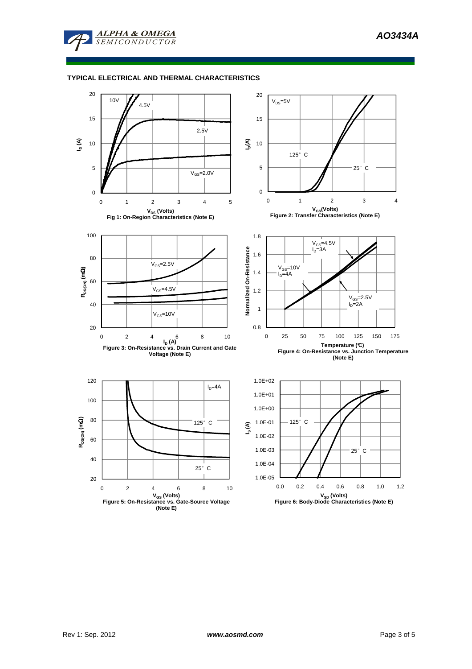

## **TYPICAL ELECTRICAL AND THERMAL CHARACTERISTICS**

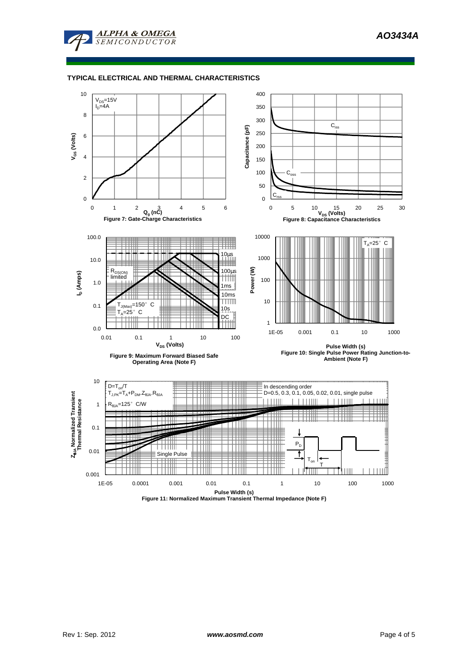



## **TYPICAL ELECTRICAL AND THERMAL CHARACTERISTICS**